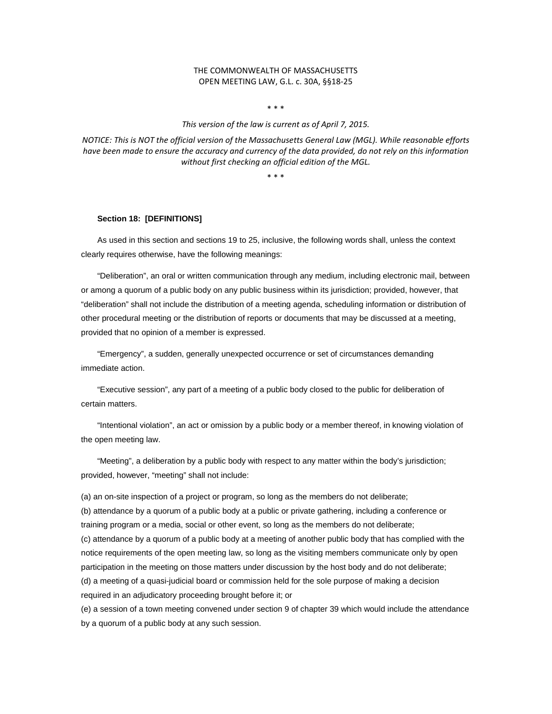## THE COMMONWEALTH OF MASSACHUSETTS OPEN MEETING LAW, G.L. c. 30A, §§18-25

\* \* \*

*This version of the law is current as of April 7, 2015.*

*NOTICE: This is NOT the official version of the Massachusetts General Law (MGL). While reasonable efforts have been made to ensure the accuracy and currency of the data provided, do not rely on this information without first checking an official edition of the MGL.*

\* \* \*

### **Section 18: [DEFINITIONS]**

As used in this section and sections 19 to 25, inclusive, the following words shall, unless the context clearly requires otherwise, have the following meanings:

"Deliberation", an oral or written communication through any medium, including electronic mail, between or among a quorum of a public body on any public business within its jurisdiction; provided, however, that "deliberation" shall not include the distribution of a meeting agenda, scheduling information or distribution of other procedural meeting or the distribution of reports or documents that may be discussed at a meeting, provided that no opinion of a member is expressed.

"Emergency", a sudden, generally unexpected occurrence or set of circumstances demanding immediate action.

"Executive session", any part of a meeting of a public body closed to the public for deliberation of certain matters.

"Intentional violation", an act or omission by a public body or a member thereof, in knowing violation of the open meeting law.

"Meeting", a deliberation by a public body with respect to any matter within the body's jurisdiction; provided, however, "meeting" shall not include:

(a) an on-site inspection of a project or program, so long as the members do not deliberate;

(b) attendance by a quorum of a public body at a public or private gathering, including a conference or training program or a media, social or other event, so long as the members do not deliberate; (c) attendance by a quorum of a public body at a meeting of another public body that has complied with the notice requirements of the open meeting law, so long as the visiting members communicate only by open participation in the meeting on those matters under discussion by the host body and do not deliberate; (d) a meeting of a quasi-judicial board or commission held for the sole purpose of making a decision required in an adjudicatory proceeding brought before it; or

(e) a session of a town meeting convened under section 9 of chapter 39 which would include the attendance by a quorum of a public body at any such session.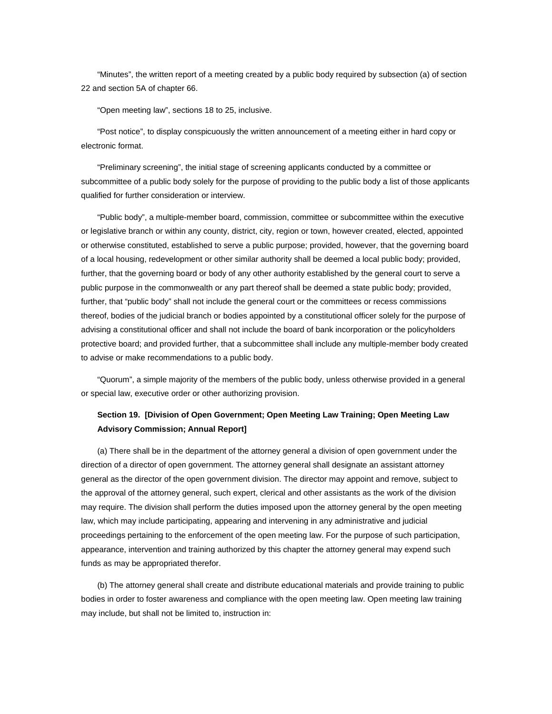"Minutes", the written report of a meeting created by a public body required by subsection (a) of section 22 and section 5A of chapter 66.

"Open meeting law", sections 18 to 25, inclusive.

"Post notice", to display conspicuously the written announcement of a meeting either in hard copy or electronic format.

"Preliminary screening", the initial stage of screening applicants conducted by a committee or subcommittee of a public body solely for the purpose of providing to the public body a list of those applicants qualified for further consideration or interview.

"Public body", a multiple-member board, commission, committee or subcommittee within the executive or legislative branch or within any county, district, city, region or town, however created, elected, appointed or otherwise constituted, established to serve a public purpose; provided, however, that the governing board of a local housing, redevelopment or other similar authority shall be deemed a local public body; provided, further, that the governing board or body of any other authority established by the general court to serve a public purpose in the commonwealth or any part thereof shall be deemed a state public body; provided, further, that "public body" shall not include the general court or the committees or recess commissions thereof, bodies of the judicial branch or bodies appointed by a constitutional officer solely for the purpose of advising a constitutional officer and shall not include the board of bank incorporation or the policyholders protective board; and provided further, that a subcommittee shall include any multiple-member body created to advise or make recommendations to a public body.

"Quorum", a simple majority of the members of the public body, unless otherwise provided in a general or special law, executive order or other authorizing provision.

# **Section 19. [Division of Open Government; Open Meeting Law Training; Open Meeting Law Advisory Commission; Annual Report]**

(a) There shall be in the department of the attorney general a division of open government under the direction of a director of open government. The attorney general shall designate an assistant attorney general as the director of the open government division. The director may appoint and remove, subject to the approval of the attorney general, such expert, clerical and other assistants as the work of the division may require. The division shall perform the duties imposed upon the attorney general by the open meeting law, which may include participating, appearing and intervening in any administrative and judicial proceedings pertaining to the enforcement of the open meeting law. For the purpose of such participation, appearance, intervention and training authorized by this chapter the attorney general may expend such funds as may be appropriated therefor.

(b) The attorney general shall create and distribute educational materials and provide training to public bodies in order to foster awareness and compliance with the open meeting law. Open meeting law training may include, but shall not be limited to, instruction in: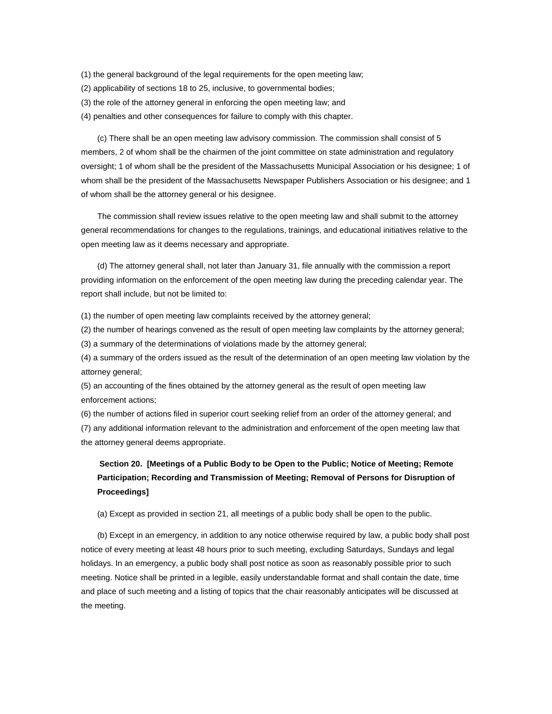- (1) the general background of the legal requirements for the open meeting law;
- (2) applicability of sections 18 to 25, inclusive, to governmental bodies;
- (3) the role of the attorney general in enforcing the open meeting law; and
- (4) penalties and other consequences for failure to comply with this chapter.

(c) There shall be an open meeting law advisory commission. The commission shall consist of 5 members, 2 of whom shall be the chairmen of the joint committee on state administration and regulatory oversight; 1 of whom shall be the president of the Massachusetts Municipal Association or his designee; 1 of whom shall be the president of the Massachusetts Newspaper Publishers Association or his designee; and 1 of whom shall be the attorney general or his designee.

The commission shall review issues relative to the open meeting law and shall submit to the attorney general recommendations for changes to the regulations, trainings, and educational initiatives relative to the open meeting law as it deems necessary and appropriate.

(d) The attorney general shall, not later than January 31, file annually with the commission a report providing information on the enforcement of the open meeting law during the preceding calendar year. The report shall include, but not be limited to:

(1) the number of open meeting law complaints received by the attorney general;

(2) the number of hearings convened as the result of open meeting law complaints by the attorney general;

(3) a summary of the determinations of violations made by the attorney general;

(4) a summary of the orders issued as the result of the determination of an open meeting law violation by the attorney general;

(5) an accounting of the fines obtained by the attorney general as the result of open meeting law enforcement actions;

(6) the number of actions filed in superior court seeking relief from an order of the attorney general; and

(7) any additional information relevant to the administration and enforcement of the open meeting law that the attorney general deems appropriate.

# **Section 20. [Meetings of a Public Body to be Open to the Public; Notice of Meeting; Remote Participation; Recording and Transmission of Meeting; Removal of Persons for Disruption of Proceedings]**

(a) Except as provided in section 21, all meetings of a public body shall be open to the public.

(b) Except in an emergency, in addition to any notice otherwise required by law, a public body shall post notice of every meeting at least 48 hours prior to such meeting, excluding Saturdays, Sundays and legal holidays. In an emergency, a public body shall post notice as soon as reasonably possible prior to such meeting. Notice shall be printed in a legible, easily understandable format and shall contain the date, time and place of such meeting and a listing of topics that the chair reasonably anticipates will be discussed at the meeting.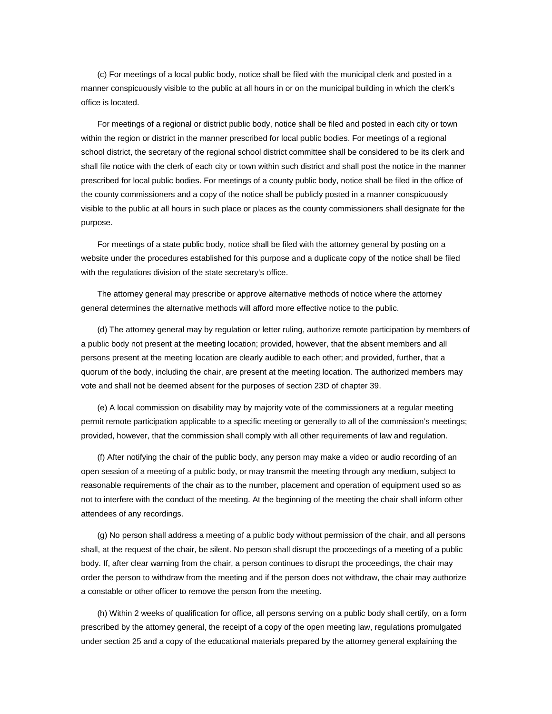(c) For meetings of a local public body, notice shall be filed with the municipal clerk and posted in a manner conspicuously visible to the public at all hours in or on the municipal building in which the clerk's office is located.

For meetings of a regional or district public body, notice shall be filed and posted in each city or town within the region or district in the manner prescribed for local public bodies. For meetings of a regional school district, the secretary of the regional school district committee shall be considered to be its clerk and shall file notice with the clerk of each city or town within such district and shall post the notice in the manner prescribed for local public bodies. For meetings of a county public body, notice shall be filed in the office of the county commissioners and a copy of the notice shall be publicly posted in a manner conspicuously visible to the public at all hours in such place or places as the county commissioners shall designate for the purpose.

For meetings of a state public body, notice shall be filed with the attorney general by posting on a website under the procedures established for this purpose and a duplicate copy of the notice shall be filed with the regulations division of the state secretary's office.

The attorney general may prescribe or approve alternative methods of notice where the attorney general determines the alternative methods will afford more effective notice to the public.

(d) The attorney general may by regulation or letter ruling, authorize remote participation by members of a public body not present at the meeting location; provided, however, that the absent members and all persons present at the meeting location are clearly audible to each other; and provided, further, that a quorum of the body, including the chair, are present at the meeting location. The authorized members may vote and shall not be deemed absent for the purposes of section 23D of chapter 39.

(e) A local commission on disability may by majority vote of the commissioners at a regular meeting permit remote participation applicable to a specific meeting or generally to all of the commission's meetings; provided, however, that the commission shall comply with all other requirements of law and regulation.

(f) After notifying the chair of the public body, any person may make a video or audio recording of an open session of a meeting of a public body, or may transmit the meeting through any medium, subject to reasonable requirements of the chair as to the number, placement and operation of equipment used so as not to interfere with the conduct of the meeting. At the beginning of the meeting the chair shall inform other attendees of any recordings.

(g) No person shall address a meeting of a public body without permission of the chair, and all persons shall, at the request of the chair, be silent. No person shall disrupt the proceedings of a meeting of a public body. If, after clear warning from the chair, a person continues to disrupt the proceedings, the chair may order the person to withdraw from the meeting and if the person does not withdraw, the chair may authorize a constable or other officer to remove the person from the meeting.

(h) Within 2 weeks of qualification for office, all persons serving on a public body shall certify, on a form prescribed by the attorney general, the receipt of a copy of the open meeting law, regulations promulgated under section 25 and a copy of the educational materials prepared by the attorney general explaining the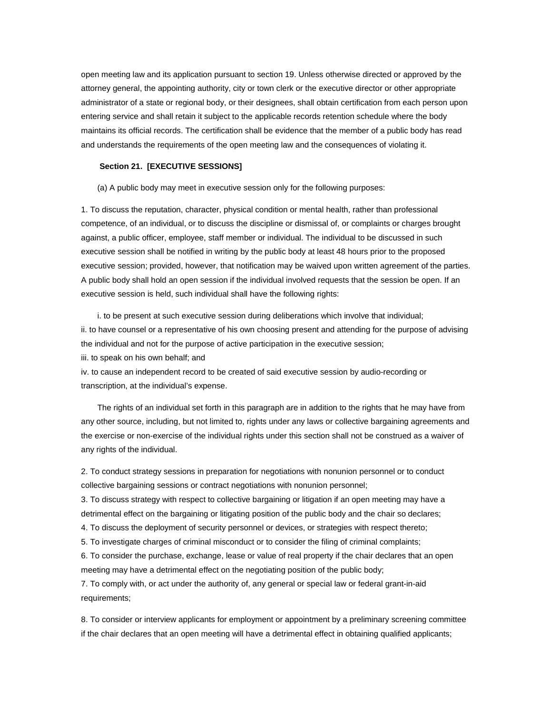open meeting law and its application pursuant to section 19. Unless otherwise directed or approved by the attorney general, the appointing authority, city or town clerk or the executive director or other appropriate administrator of a state or regional body, or their designees, shall obtain certification from each person upon entering service and shall retain it subject to the applicable records retention schedule where the body maintains its official records. The certification shall be evidence that the member of a public body has read and understands the requirements of the open meeting law and the consequences of violating it.

### **Section 21. [EXECUTIVE SESSIONS]**

(a) A public body may meet in executive session only for the following purposes:

1. To discuss the reputation, character, physical condition or mental health, rather than professional competence, of an individual, or to discuss the discipline or dismissal of, or complaints or charges brought against, a public officer, employee, staff member or individual. The individual to be discussed in such executive session shall be notified in writing by the public body at least 48 hours prior to the proposed executive session; provided, however, that notification may be waived upon written agreement of the parties. A public body shall hold an open session if the individual involved requests that the session be open. If an executive session is held, such individual shall have the following rights:

i. to be present at such executive session during deliberations which involve that individual; ii. to have counsel or a representative of his own choosing present and attending for the purpose of advising the individual and not for the purpose of active participation in the executive session; iii. to speak on his own behalf; and

iv. to cause an independent record to be created of said executive session by audio-recording or transcription, at the individual's expense.

The rights of an individual set forth in this paragraph are in addition to the rights that he may have from any other source, including, but not limited to, rights under any laws or collective bargaining agreements and the exercise or non-exercise of the individual rights under this section shall not be construed as a waiver of any rights of the individual.

2. To conduct strategy sessions in preparation for negotiations with nonunion personnel or to conduct collective bargaining sessions or contract negotiations with nonunion personnel;

3. To discuss strategy with respect to collective bargaining or litigation if an open meeting may have a detrimental effect on the bargaining or litigating position of the public body and the chair so declares;

4. To discuss the deployment of security personnel or devices, or strategies with respect thereto;

5. To investigate charges of criminal misconduct or to consider the filing of criminal complaints;

6. To consider the purchase, exchange, lease or value of real property if the chair declares that an open meeting may have a detrimental effect on the negotiating position of the public body;

7. To comply with, or act under the authority of, any general or special law or federal grant-in-aid requirements;

8. To consider or interview applicants for employment or appointment by a preliminary screening committee if the chair declares that an open meeting will have a detrimental effect in obtaining qualified applicants;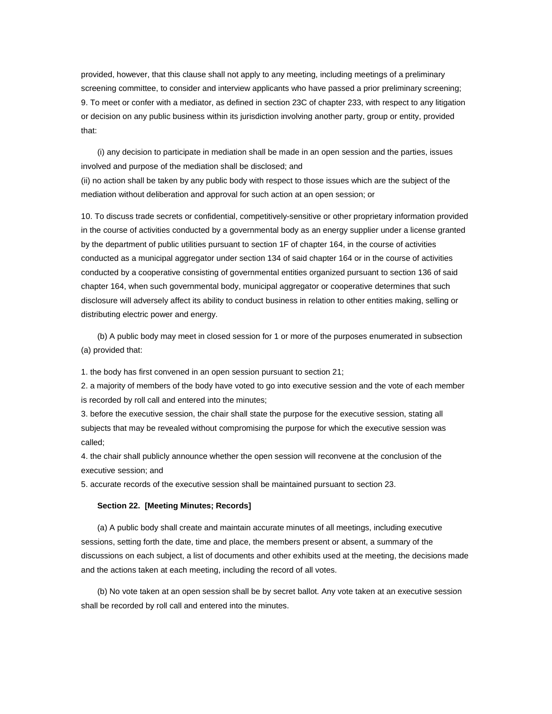provided, however, that this clause shall not apply to any meeting, including meetings of a preliminary screening committee, to consider and interview applicants who have passed a prior preliminary screening; 9. To meet or confer with a mediator, as defined in section 23C of chapter 233, with respect to any litigation or decision on any public business within its jurisdiction involving another party, group or entity, provided that:

(i) any decision to participate in mediation shall be made in an open session and the parties, issues involved and purpose of the mediation shall be disclosed; and (ii) no action shall be taken by any public body with respect to those issues which are the subject of the mediation without deliberation and approval for such action at an open session; or

10. To discuss trade secrets or confidential, competitively-sensitive or other proprietary information provided in the course of activities conducted by a governmental body as an energy supplier under a license granted by the department of public utilities pursuant to section 1F of chapter 164, in the course of activities conducted as a municipal aggregator under section 134 of said chapter 164 or in the course of activities conducted by a cooperative consisting of governmental entities organized pursuant to section 136 of said chapter 164, when such governmental body, municipal aggregator or cooperative determines that such disclosure will adversely affect its ability to conduct business in relation to other entities making, selling or distributing electric power and energy.

(b) A public body may meet in closed session for 1 or more of the purposes enumerated in subsection (a) provided that:

1. the body has first convened in an open session pursuant to section 21;

2. a majority of members of the body have voted to go into executive session and the vote of each member is recorded by roll call and entered into the minutes;

3. before the executive session, the chair shall state the purpose for the executive session, stating all subjects that may be revealed without compromising the purpose for which the executive session was called;

4. the chair shall publicly announce whether the open session will reconvene at the conclusion of the executive session; and

5. accurate records of the executive session shall be maintained pursuant to section 23.

#### **Section 22. [Meeting Minutes; Records]**

(a) A public body shall create and maintain accurate minutes of all meetings, including executive sessions, setting forth the date, time and place, the members present or absent, a summary of the discussions on each subject, a list of documents and other exhibits used at the meeting, the decisions made and the actions taken at each meeting, including the record of all votes.

(b) No vote taken at an open session shall be by secret ballot. Any vote taken at an executive session shall be recorded by roll call and entered into the minutes.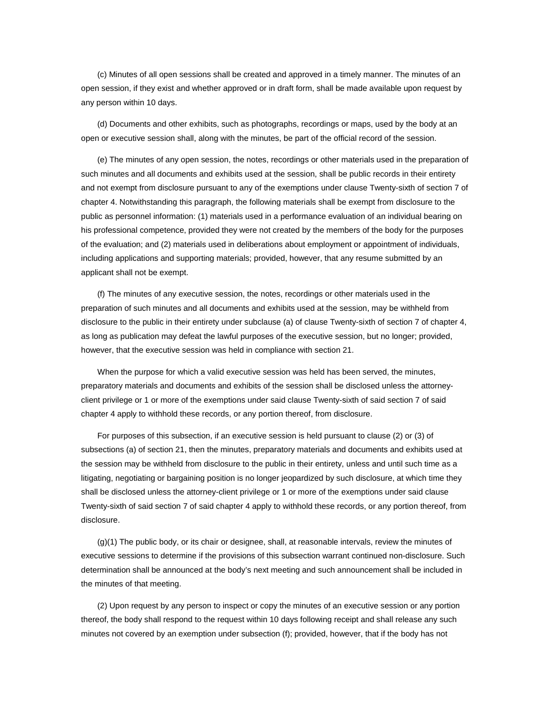(c) Minutes of all open sessions shall be created and approved in a timely manner. The minutes of an open session, if they exist and whether approved or in draft form, shall be made available upon request by any person within 10 days.

(d) Documents and other exhibits, such as photographs, recordings or maps, used by the body at an open or executive session shall, along with the minutes, be part of the official record of the session.

(e) The minutes of any open session, the notes, recordings or other materials used in the preparation of such minutes and all documents and exhibits used at the session, shall be public records in their entirety and not exempt from disclosure pursuant to any of the exemptions under clause Twenty-sixth of section 7 of chapter 4. Notwithstanding this paragraph, the following materials shall be exempt from disclosure to the public as personnel information: (1) materials used in a performance evaluation of an individual bearing on his professional competence, provided they were not created by the members of the body for the purposes of the evaluation; and (2) materials used in deliberations about employment or appointment of individuals, including applications and supporting materials; provided, however, that any resume submitted by an applicant shall not be exempt.

(f) The minutes of any executive session, the notes, recordings or other materials used in the preparation of such minutes and all documents and exhibits used at the session, may be withheld from disclosure to the public in their entirety under subclause (a) of clause Twenty-sixth of section 7 of chapter 4, as long as publication may defeat the lawful purposes of the executive session, but no longer; provided, however, that the executive session was held in compliance with section 21.

When the purpose for which a valid executive session was held has been served, the minutes, preparatory materials and documents and exhibits of the session shall be disclosed unless the attorneyclient privilege or 1 or more of the exemptions under said clause Twenty-sixth of said section 7 of said chapter 4 apply to withhold these records, or any portion thereof, from disclosure.

For purposes of this subsection, if an executive session is held pursuant to clause (2) or (3) of subsections (a) of section 21, then the minutes, preparatory materials and documents and exhibits used at the session may be withheld from disclosure to the public in their entirety, unless and until such time as a litigating, negotiating or bargaining position is no longer jeopardized by such disclosure, at which time they shall be disclosed unless the attorney-client privilege or 1 or more of the exemptions under said clause Twenty-sixth of said section 7 of said chapter 4 apply to withhold these records, or any portion thereof, from disclosure.

(g)(1) The public body, or its chair or designee, shall, at reasonable intervals, review the minutes of executive sessions to determine if the provisions of this subsection warrant continued non-disclosure. Such determination shall be announced at the body's next meeting and such announcement shall be included in the minutes of that meeting.

(2) Upon request by any person to inspect or copy the minutes of an executive session or any portion thereof, the body shall respond to the request within 10 days following receipt and shall release any such minutes not covered by an exemption under subsection (f); provided, however, that if the body has not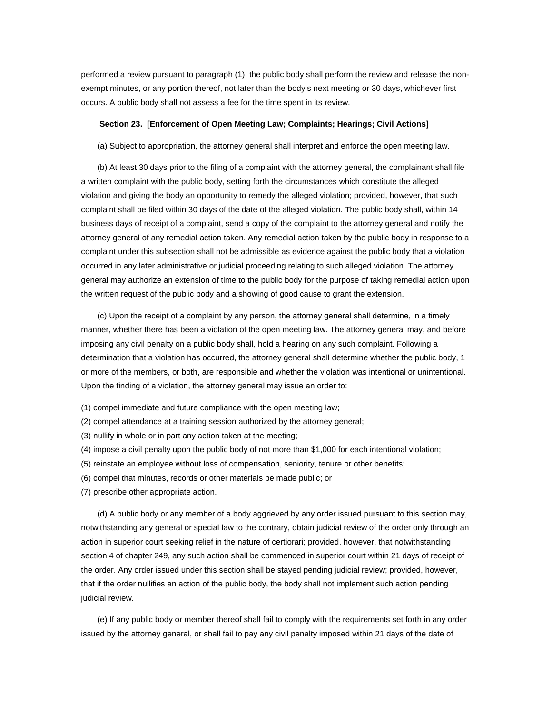performed a review pursuant to paragraph (1), the public body shall perform the review and release the nonexempt minutes, or any portion thereof, not later than the body's next meeting or 30 days, whichever first occurs. A public body shall not assess a fee for the time spent in its review.

#### **Section 23. [Enforcement of Open Meeting Law; Complaints; Hearings; Civil Actions]**

(a) Subject to appropriation, the attorney general shall interpret and enforce the open meeting law.

(b) At least 30 days prior to the filing of a complaint with the attorney general, the complainant shall file a written complaint with the public body, setting forth the circumstances which constitute the alleged violation and giving the body an opportunity to remedy the alleged violation; provided, however, that such complaint shall be filed within 30 days of the date of the alleged violation. The public body shall, within 14 business days of receipt of a complaint, send a copy of the complaint to the attorney general and notify the attorney general of any remedial action taken. Any remedial action taken by the public body in response to a complaint under this subsection shall not be admissible as evidence against the public body that a violation occurred in any later administrative or judicial proceeding relating to such alleged violation. The attorney general may authorize an extension of time to the public body for the purpose of taking remedial action upon the written request of the public body and a showing of good cause to grant the extension.

(c) Upon the receipt of a complaint by any person, the attorney general shall determine, in a timely manner, whether there has been a violation of the open meeting law. The attorney general may, and before imposing any civil penalty on a public body shall, hold a hearing on any such complaint. Following a determination that a violation has occurred, the attorney general shall determine whether the public body, 1 or more of the members, or both, are responsible and whether the violation was intentional or unintentional. Upon the finding of a violation, the attorney general may issue an order to:

- (1) compel immediate and future compliance with the open meeting law;
- (2) compel attendance at a training session authorized by the attorney general;
- (3) nullify in whole or in part any action taken at the meeting;
- (4) impose a civil penalty upon the public body of not more than \$1,000 for each intentional violation;
- (5) reinstate an employee without loss of compensation, seniority, tenure or other benefits;
- (6) compel that minutes, records or other materials be made public; or
- (7) prescribe other appropriate action.

(d) A public body or any member of a body aggrieved by any order issued pursuant to this section may, notwithstanding any general or special law to the contrary, obtain judicial review of the order only through an action in superior court seeking relief in the nature of certiorari; provided, however, that notwithstanding section 4 of chapter 249, any such action shall be commenced in superior court within 21 days of receipt of the order. Any order issued under this section shall be stayed pending judicial review; provided, however, that if the order nullifies an action of the public body, the body shall not implement such action pending judicial review.

(e) If any public body or member thereof shall fail to comply with the requirements set forth in any order issued by the attorney general, or shall fail to pay any civil penalty imposed within 21 days of the date of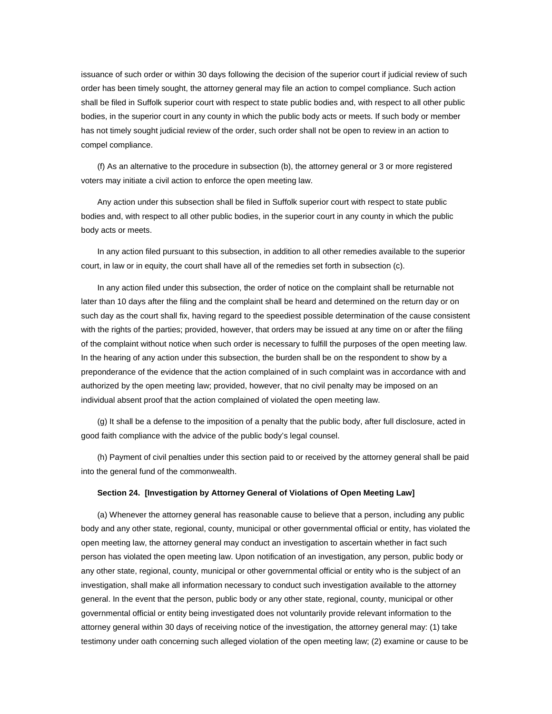issuance of such order or within 30 days following the decision of the superior court if judicial review of such order has been timely sought, the attorney general may file an action to compel compliance. Such action shall be filed in Suffolk superior court with respect to state public bodies and, with respect to all other public bodies, in the superior court in any county in which the public body acts or meets. If such body or member has not timely sought judicial review of the order, such order shall not be open to review in an action to compel compliance.

(f) As an alternative to the procedure in subsection (b), the attorney general or 3 or more registered voters may initiate a civil action to enforce the open meeting law.

Any action under this subsection shall be filed in Suffolk superior court with respect to state public bodies and, with respect to all other public bodies, in the superior court in any county in which the public body acts or meets.

In any action filed pursuant to this subsection, in addition to all other remedies available to the superior court, in law or in equity, the court shall have all of the remedies set forth in subsection (c).

In any action filed under this subsection, the order of notice on the complaint shall be returnable not later than 10 days after the filing and the complaint shall be heard and determined on the return day or on such day as the court shall fix, having regard to the speediest possible determination of the cause consistent with the rights of the parties; provided, however, that orders may be issued at any time on or after the filing of the complaint without notice when such order is necessary to fulfill the purposes of the open meeting law. In the hearing of any action under this subsection, the burden shall be on the respondent to show by a preponderance of the evidence that the action complained of in such complaint was in accordance with and authorized by the open meeting law; provided, however, that no civil penalty may be imposed on an individual absent proof that the action complained of violated the open meeting law.

(g) It shall be a defense to the imposition of a penalty that the public body, after full disclosure, acted in good faith compliance with the advice of the public body's legal counsel.

(h) Payment of civil penalties under this section paid to or received by the attorney general shall be paid into the general fund of the commonwealth.

#### **Section 24. [Investigation by Attorney General of Violations of Open Meeting Law]**

(a) Whenever the attorney general has reasonable cause to believe that a person, including any public body and any other state, regional, county, municipal or other governmental official or entity, has violated the open meeting law, the attorney general may conduct an investigation to ascertain whether in fact such person has violated the open meeting law. Upon notification of an investigation, any person, public body or any other state, regional, county, municipal or other governmental official or entity who is the subject of an investigation, shall make all information necessary to conduct such investigation available to the attorney general. In the event that the person, public body or any other state, regional, county, municipal or other governmental official or entity being investigated does not voluntarily provide relevant information to the attorney general within 30 days of receiving notice of the investigation, the attorney general may: (1) take testimony under oath concerning such alleged violation of the open meeting law; (2) examine or cause to be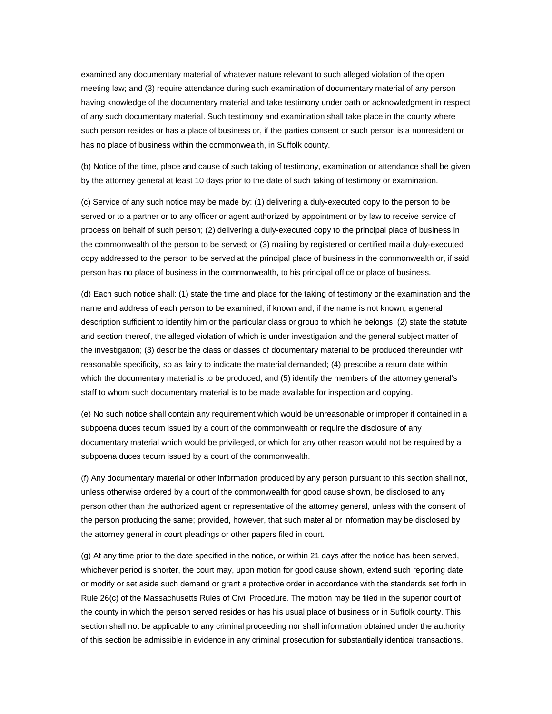examined any documentary material of whatever nature relevant to such alleged violation of the open meeting law; and (3) require attendance during such examination of documentary material of any person having knowledge of the documentary material and take testimony under oath or acknowledgment in respect of any such documentary material. Such testimony and examination shall take place in the county where such person resides or has a place of business or, if the parties consent or such person is a nonresident or has no place of business within the commonwealth, in Suffolk county.

(b) Notice of the time, place and cause of such taking of testimony, examination or attendance shall be given by the attorney general at least 10 days prior to the date of such taking of testimony or examination.

(c) Service of any such notice may be made by: (1) delivering a duly-executed copy to the person to be served or to a partner or to any officer or agent authorized by appointment or by law to receive service of process on behalf of such person; (2) delivering a duly-executed copy to the principal place of business in the commonwealth of the person to be served; or (3) mailing by registered or certified mail a duly-executed copy addressed to the person to be served at the principal place of business in the commonwealth or, if said person has no place of business in the commonwealth, to his principal office or place of business.

(d) Each such notice shall: (1) state the time and place for the taking of testimony or the examination and the name and address of each person to be examined, if known and, if the name is not known, a general description sufficient to identify him or the particular class or group to which he belongs; (2) state the statute and section thereof, the alleged violation of which is under investigation and the general subject matter of the investigation; (3) describe the class or classes of documentary material to be produced thereunder with reasonable specificity, so as fairly to indicate the material demanded; (4) prescribe a return date within which the documentary material is to be produced; and (5) identify the members of the attorney general's staff to whom such documentary material is to be made available for inspection and copying.

(e) No such notice shall contain any requirement which would be unreasonable or improper if contained in a subpoena duces tecum issued by a court of the commonwealth or require the disclosure of any documentary material which would be privileged, or which for any other reason would not be required by a subpoena duces tecum issued by a court of the commonwealth.

(f) Any documentary material or other information produced by any person pursuant to this section shall not, unless otherwise ordered by a court of the commonwealth for good cause shown, be disclosed to any person other than the authorized agent or representative of the attorney general, unless with the consent of the person producing the same; provided, however, that such material or information may be disclosed by the attorney general in court pleadings or other papers filed in court.

(g) At any time prior to the date specified in the notice, or within 21 days after the notice has been served, whichever period is shorter, the court may, upon motion for good cause shown, extend such reporting date or modify or set aside such demand or grant a protective order in accordance with the standards set forth in Rule 26(c) of the Massachusetts Rules of Civil Procedure. The motion may be filed in the superior court of the county in which the person served resides or has his usual place of business or in Suffolk county. This section shall not be applicable to any criminal proceeding nor shall information obtained under the authority of this section be admissible in evidence in any criminal prosecution for substantially identical transactions.